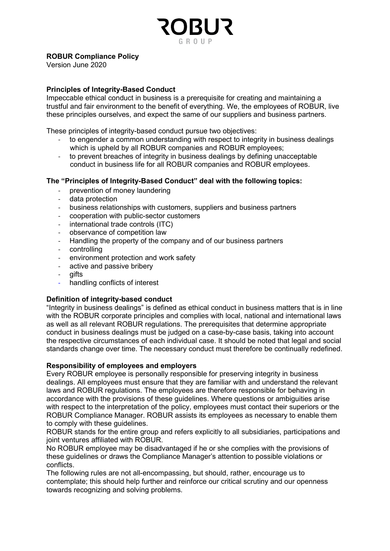# ROBUR Compliance Policy

Version June 2020

# Principles of Integrity-Based Conduct

Impeccable ethical conduct in business is a prerequisite for creating and maintaining a trustful and fair environment to the benefit of everything. We, the employees of ROBUR, live these principles ourselves, and expect the same of our suppliers and business partners.

These principles of integrity-based conduct pursue two objectives:

- to engender a common understanding with respect to integrity in business dealings which is upheld by all ROBUR companies and ROBUR employees:
- to prevent breaches of integrity in business dealings by defining unacceptable conduct in business life for all ROBUR companies and ROBUR employees.

# The "Principles of Integrity-Based Conduct" deal with the following topics:

- prevention of money laundering
- data protection
- business relationships with customers, suppliers and business partners
- cooperation with public-sector customers
- international trade controls (ITC)
- observance of competition law
- Handling the property of the company and of our business partners
- controlling
- environment protection and work safety
- active and passive bribery
- qifts
- handling conflicts of interest

#### Definition of integrity-based conduct

"Integrity in business dealings" is defined as ethical conduct in business matters that is in line with the ROBUR corporate principles and complies with local, national and international laws as well as all relevant ROBUR regulations. The prerequisites that determine appropriate conduct in business dealings must be judged on a case-by-case basis, taking into account the respective circumstances of each individual case. It should be noted that legal and social standards change over time. The necessary conduct must therefore be continually redefined.

#### Responsibility of employees and employers

Every ROBUR employee is personally responsible for preserving integrity in business dealings. All employees must ensure that they are familiar with and understand the relevant laws and ROBUR regulations. The employees are therefore responsible for behaving in accordance with the provisions of these guidelines. Where questions or ambiguities arise with respect to the interpretation of the policy, employees must contact their superiors or the ROBUR Compliance Manager. ROBUR assists its employees as necessary to enable them to comply with these guidelines.

ROBUR stands for the entire group and refers explicitly to all subsidiaries, participations and joint ventures affiliated with ROBUR.

No ROBUR employee may be disadvantaged if he or she complies with the provisions of these guidelines or draws the Compliance Manager's attention to possible violations or conflicts.

The following rules are not all-encompassing, but should, rather, encourage us to contemplate; this should help further and reinforce our critical scrutiny and our openness towards recognizing and solving problems.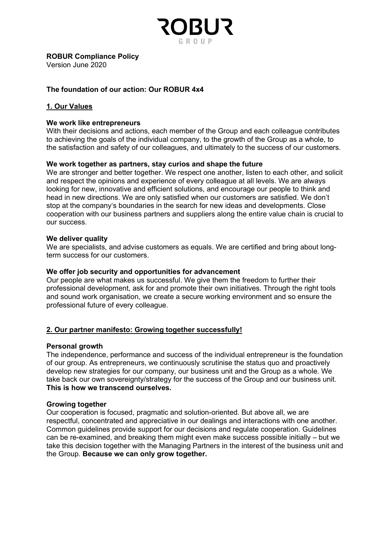

Version June 2020

# The foundation of our action: Our ROBUR 4x4

# 1. Our Values

### We work like entrepreneurs

With their decisions and actions, each member of the Group and each colleague contributes to achieving the goals of the individual company, to the growth of the Group as a whole, to the satisfaction and safety of our colleagues, and ultimately to the success of our customers.

### We work together as partners, stay curios and shape the future

We are stronger and better together. We respect one another, listen to each other, and solicit and respect the opinions and experience of every colleague at all levels. We are always looking for new, innovative and efficient solutions, and encourage our people to think and head in new directions. We are only satisfied when our customers are satisfied. We don't stop at the company's boundaries in the search for new ideas and developments. Close cooperation with our business partners and suppliers along the entire value chain is crucial to our success.

#### We deliver quality

We are specialists, and advise customers as equals. We are certified and bring about longterm success for our customers.

#### We offer job security and opportunities for advancement

Our people are what makes us successful. We give them the freedom to further their professional development, ask for and promote their own initiatives. Through the right tools and sound work organisation, we create a secure working environment and so ensure the professional future of every colleague.

## 2. Our partner manifesto: Growing together successfully!

#### Personal growth

The independence, performance and success of the individual entrepreneur is the foundation of our group. As entrepreneurs, we continuously scrutinise the status quo and proactively develop new strategies for our company, our business unit and the Group as a whole. We take back our own sovereignty/strategy for the success of the Group and our business unit. This is how we transcend ourselves.

#### Growing together

Our cooperation is focused, pragmatic and solution-oriented. But above all, we are respectful, concentrated and appreciative in our dealings and interactions with one another. Common guidelines provide support for our decisions and regulate cooperation. Guidelines can be re-examined, and breaking them might even make success possible initially – but we take this decision together with the Managing Partners in the interest of the business unit and the Group. Because we can only grow together.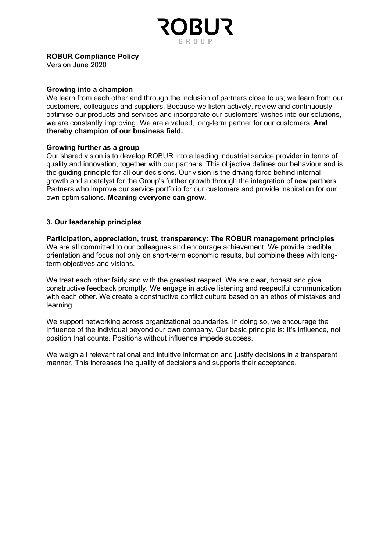

Version June 2020

### Growing into a champion

We learn from each other and through the inclusion of partners close to us; we learn from our customers, colleagues and suppliers. Because we listen actively, review and continuously optimise our products and services and incorporate our customers' wishes into our solutions, we are constantly improving. We are a valued, long-term partner for our customers. And thereby champion of our business field.

### Growing further as a group

Our shared vision is to develop ROBUR into a leading industrial service provider in terms of quality and innovation, together with our partners. This objective defines our behaviour and is the guiding principle for all our decisions. Our vision is the driving force behind internal growth and a catalyst for the Group's further growth through the integration of new partners. Partners who improve our service portfolio for our customers and provide inspiration for our own optimisations. Meaning everyone can grow.

## 3. Our leadership principles

Participation, appreciation, trust, transparency: The ROBUR management principles We are all committed to our colleagues and encourage achievement. We provide credible orientation and focus not only on short-term economic results, but combine these with longterm objectives and visions.

We treat each other fairly and with the greatest respect. We are clear, honest and give constructive feedback promptly. We engage in active listening and respectful communication with each other. We create a constructive conflict culture based on an ethos of mistakes and learning.

We support networking across organizational boundaries. In doing so, we encourage the influence of the individual beyond our own company. Our basic principle is: It's influence, not position that counts. Positions without influence impede success.

We weigh all relevant rational and intuitive information and justify decisions in a transparent manner. This increases the quality of decisions and supports their acceptance.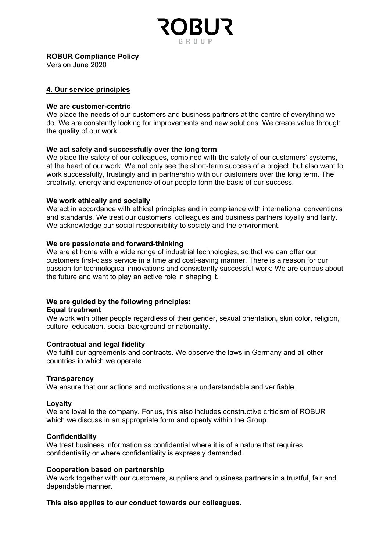

Version June 2020

### 4. Our service principles

#### We are customer-centric

We place the needs of our customers and business partners at the centre of everything we do. We are constantly looking for improvements and new solutions. We create value through the quality of our work.

#### We act safely and successfully over the long term

We place the safety of our colleagues, combined with the safety of our customers' systems, at the heart of our work. We not only see the short-term success of a project, but also want to work successfully, trustingly and in partnership with our customers over the long term. The creativity, energy and experience of our people form the basis of our success.

#### We work ethically and socially

We act in accordance with ethical principles and in compliance with international conventions and standards. We treat our customers, colleagues and business partners loyally and fairly. We acknowledge our social responsibility to society and the environment.

#### We are passionate and forward-thinking

We are at home with a wide range of industrial technologies, so that we can offer our customers first-class service in a time and cost-saving manner. There is a reason for our passion for technological innovations and consistently successful work: We are curious about the future and want to play an active role in shaping it.

## We are guided by the following principles:

#### Equal treatment

We work with other people regardless of their gender, sexual orientation, skin color, religion, culture, education, social background or nationality.

#### Contractual and legal fidelity

We fulfill our agreements and contracts. We observe the laws in Germany and all other countries in which we operate.

#### **Transparency**

We ensure that our actions and motivations are understandable and verifiable.

#### Loyalty

We are loyal to the company. For us, this also includes constructive criticism of ROBUR which we discuss in an appropriate form and openly within the Group.

#### **Confidentiality**

We treat business information as confidential where it is of a nature that requires confidentiality or where confidentiality is expressly demanded.

#### Cooperation based on partnership

We work together with our customers, suppliers and business partners in a trustful, fair and dependable manner.

#### This also applies to our conduct towards our colleagues.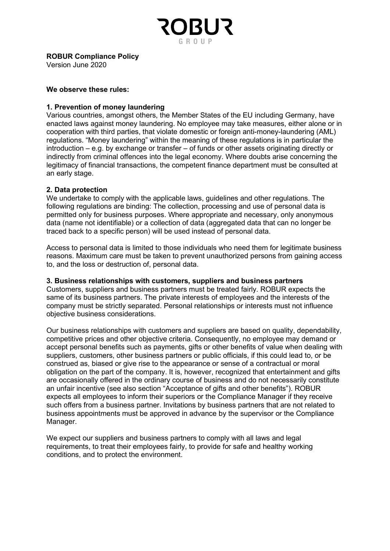

Version June 2020

#### We observe these rules:

### 1. Prevention of money laundering

Various countries, amongst others, the Member States of the EU including Germany, have enacted laws against money laundering. No employee may take measures, either alone or in cooperation with third parties, that violate domestic or foreign anti-money-laundering (AML) regulations. "Money laundering" within the meaning of these regulations is in particular the introduction – e.g. by exchange or transfer – of funds or other assets originating directly or indirectly from criminal offences into the legal economy. Where doubts arise concerning the legitimacy of financial transactions, the competent finance department must be consulted at an early stage.

### 2. Data protection

We undertake to comply with the applicable laws, guidelines and other regulations. The following regulations are binding: The collection, processing and use of personal data is permitted only for business purposes. Where appropriate and necessary, only anonymous data (name not identifiable) or a collection of data (aggregated data that can no longer be traced back to a specific person) will be used instead of personal data.

Access to personal data is limited to those individuals who need them for legitimate business reasons. Maximum care must be taken to prevent unauthorized persons from gaining access to, and the loss or destruction of, personal data.

#### 3. Business relationships with customers, suppliers and business partners

Customers, suppliers and business partners must be treated fairly. ROBUR expects the same of its business partners. The private interests of employees and the interests of the company must be strictly separated. Personal relationships or interests must not influence objective business considerations.

Our business relationships with customers and suppliers are based on quality, dependability, competitive prices and other objective criteria. Consequently, no employee may demand or accept personal benefits such as payments, gifts or other benefits of value when dealing with suppliers, customers, other business partners or public officials, if this could lead to, or be construed as, biased or give rise to the appearance or sense of a contractual or moral obligation on the part of the company. It is, however, recognized that entertainment and gifts are occasionally offered in the ordinary course of business and do not necessarily constitute an unfair incentive (see also section "Acceptance of gifts and other benefits"). ROBUR expects all employees to inform their superiors or the Compliance Manager if they receive such offers from a business partner. Invitations by business partners that are not related to business appointments must be approved in advance by the supervisor or the Compliance Manager.

We expect our suppliers and business partners to comply with all laws and legal requirements, to treat their employees fairly, to provide for safe and healthy working conditions, and to protect the environment.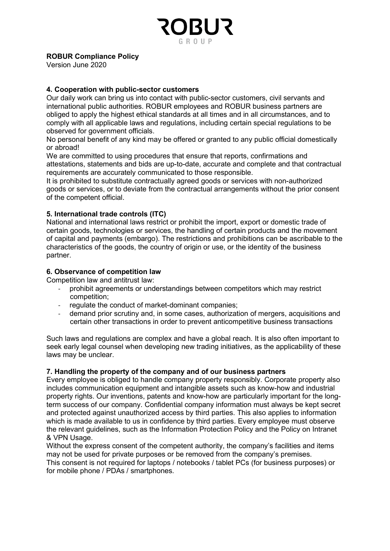# ROBUR Compliance Policy

Version June 2020

## 4. Cooperation with public-sector customers

Our daily work can bring us into contact with public-sector customers, civil servants and international public authorities. ROBUR employees and ROBUR business partners are obliged to apply the highest ethical standards at all times and in all circumstances, and to comply with all applicable laws and regulations, including certain special regulations to be observed for government officials.

No personal benefit of any kind may be offered or granted to any public official domestically or abroad!

We are committed to using procedures that ensure that reports, confirmations and attestations, statements and bids are up-to-date, accurate and complete and that contractual requirements are accurately communicated to those responsible.

It is prohibited to substitute contractually agreed goods or services with non-authorized goods or services, or to deviate from the contractual arrangements without the prior consent of the competent official.

## 5. International trade controls (ITC)

National and international laws restrict or prohibit the import, export or domestic trade of certain goods, technologies or services, the handling of certain products and the movement of capital and payments (embargo). The restrictions and prohibitions can be ascribable to the characteristics of the goods, the country of origin or use, or the identity of the business partner.

# 6. Observance of competition law

Competition law and antitrust law:

- prohibit agreements or understandings between competitors which may restrict competition;
- regulate the conduct of market-dominant companies;
- demand prior scrutiny and, in some cases, authorization of mergers, acquisitions and certain other transactions in order to prevent anticompetitive business transactions

Such laws and regulations are complex and have a global reach. It is also often important to seek early legal counsel when developing new trading initiatives, as the applicability of these laws may be unclear.

## 7. Handling the property of the company and of our business partners

Every employee is obliged to handle company property responsibly. Corporate property also includes communication equipment and intangible assets such as know-how and industrial property rights. Our inventions, patents and know-how are particularly important for the longterm success of our company. Confidential company information must always be kept secret and protected against unauthorized access by third parties. This also applies to information which is made available to us in confidence by third parties. Every employee must observe the relevant guidelines, such as the Information Protection Policy and the Policy on Intranet & VPN Usage.

Without the express consent of the competent authority, the company's facilities and items may not be used for private purposes or be removed from the company's premises. This consent is not required for laptops / notebooks / tablet PCs (for business purposes) or

for mobile phone / PDAs / smartphones.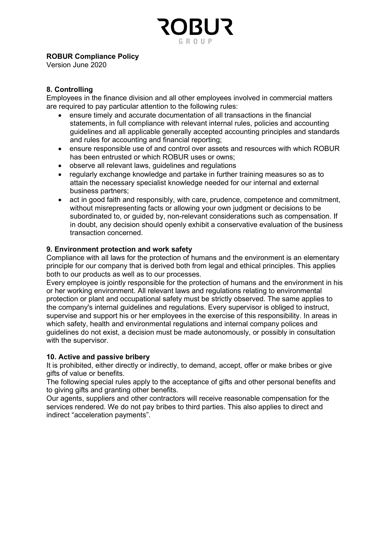# ROBUR Compliance Policy

Version June 2020

# 8. Controlling

Employees in the finance division and all other employees involved in commercial matters are required to pay particular attention to the following rules:

- ensure timely and accurate documentation of all transactions in the financial statements, in full compliance with relevant internal rules, policies and accounting guidelines and all applicable generally accepted accounting principles and standards and rules for accounting and financial reporting;
- ensure responsible use of and control over assets and resources with which ROBUR has been entrusted or which ROBUR uses or owns;
- observe all relevant laws, guidelines and regulations
- regularly exchange knowledge and partake in further training measures so as to attain the necessary specialist knowledge needed for our internal and external business partners;
- act in good faith and responsibly, with care, prudence, competence and commitment, without misrepresenting facts or allowing your own judgment or decisions to be subordinated to, or guided by, non-relevant considerations such as compensation. If in doubt, any decision should openly exhibit a conservative evaluation of the business transaction concerned.

# 9. Environment protection and work safety

Compliance with all laws for the protection of humans and the environment is an elementary principle for our company that is derived both from legal and ethical principles. This applies both to our products as well as to our processes.

Every employee is jointly responsible for the protection of humans and the environment in his or her working environment. All relevant laws and regulations relating to environmental protection or plant and occupational safety must be strictly observed. The same applies to the company's internal guidelines and regulations. Every supervisor is obliged to instruct, supervise and support his or her employees in the exercise of this responsibility. In areas in which safety, health and environmental regulations and internal company polices and guidelines do not exist, a decision must be made autonomously, or possibly in consultation with the supervisor.

## 10. Active and passive bribery

It is prohibited, either directly or indirectly, to demand, accept, offer or make bribes or give gifts of value or benefits.

The following special rules apply to the acceptance of gifts and other personal benefits and to giving gifts and granting other benefits.

Our agents, suppliers and other contractors will receive reasonable compensation for the services rendered. We do not pay bribes to third parties. This also applies to direct and indirect "acceleration payments".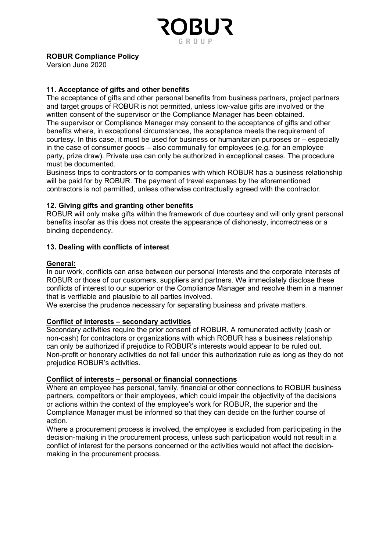# ROBUR Compliance Policy

Version June 2020

# 11. Acceptance of gifts and other benefits

The acceptance of gifts and other personal benefits from business partners, project partners and target groups of ROBUR is not permitted, unless low-value gifts are involved or the written consent of the supervisor or the Compliance Manager has been obtained. The supervisor or Compliance Manager may consent to the acceptance of gifts and other benefits where, in exceptional circumstances, the acceptance meets the requirement of courtesy. In this case, it must be used for business or humanitarian purposes or – especially in the case of consumer goods – also communally for employees (e.g. for an employee party, prize draw). Private use can only be authorized in exceptional cases. The procedure must be documented.

Business trips to contractors or to companies with which ROBUR has a business relationship will be paid for by ROBUR. The payment of travel expenses by the aforementioned contractors is not permitted, unless otherwise contractually agreed with the contractor.

## 12. Giving gifts and granting other benefits

ROBUR will only make gifts within the framework of due courtesy and will only grant personal benefits insofar as this does not create the appearance of dishonesty, incorrectness or a binding dependency.

## 13. Dealing with conflicts of interest

## General:

In our work, conflicts can arise between our personal interests and the corporate interests of ROBUR or those of our customers, suppliers and partners. We immediately disclose these conflicts of interest to our superior or the Compliance Manager and resolve them in a manner that is verifiable and plausible to all parties involved.

We exercise the prudence necessary for separating business and private matters.

## Conflict of interests – secondary activities

Secondary activities require the prior consent of ROBUR. A remunerated activity (cash or non-cash) for contractors or organizations with which ROBUR has a business relationship can only be authorized if prejudice to ROBUR's interests would appear to be ruled out. Non-profit or honorary activities do not fall under this authorization rule as long as they do not prejudice ROBUR's activities.

## Conflict of interests – personal or financial connections

Where an employee has personal, family, financial or other connections to ROBUR business partners, competitors or their employees, which could impair the objectivity of the decisions or actions within the context of the employee's work for ROBUR, the superior and the Compliance Manager must be informed so that they can decide on the further course of action.

Where a procurement process is involved, the employee is excluded from participating in the decision-making in the procurement process, unless such participation would not result in a conflict of interest for the persons concerned or the activities would not affect the decisionmaking in the procurement process.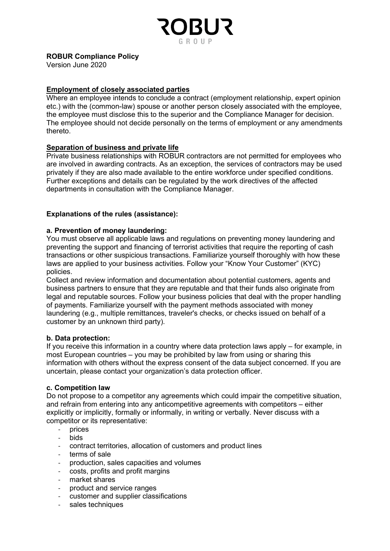

Version June 2020

# Employment of closely associated parties

Where an employee intends to conclude a contract (employment relationship, expert opinion etc.) with the (common-law) spouse or another person closely associated with the employee, the employee must disclose this to the superior and the Compliance Manager for decision. The employee should not decide personally on the terms of employment or any amendments thereto.

## Separation of business and private life

Private business relationships with ROBUR contractors are not permitted for employees who are involved in awarding contracts. As an exception, the services of contractors may be used privately if they are also made available to the entire workforce under specified conditions. Further exceptions and details can be regulated by the work directives of the affected departments in consultation with the Compliance Manager.

# Explanations of the rules (assistance):

## a. Prevention of money laundering:

You must observe all applicable laws and regulations on preventing money laundering and preventing the support and financing of terrorist activities that require the reporting of cash transactions or other suspicious transactions. Familiarize yourself thoroughly with how these laws are applied to your business activities. Follow your "Know Your Customer" (KYC) policies.

Collect and review information and documentation about potential customers, agents and business partners to ensure that they are reputable and that their funds also originate from legal and reputable sources. Follow your business policies that deal with the proper handling of payments. Familiarize yourself with the payment methods associated with money laundering (e.g., multiple remittances, traveler's checks, or checks issued on behalf of a customer by an unknown third party).

## b. Data protection:

If you receive this information in a country where data protection laws apply – for example, in most European countries – you may be prohibited by law from using or sharing this information with others without the express consent of the data subject concerned. If you are uncertain, please contact your organization's data protection officer.

## c. Competition law

Do not propose to a competitor any agreements which could impair the competitive situation, and refrain from entering into any anticompetitive agreements with competitors – either explicitly or implicitly, formally or informally, in writing or verbally. Never discuss with a competitor or its representative:

- prices
- bids
- contract territories, allocation of customers and product lines
- terms of sale
- production, sales capacities and volumes
- costs, profits and profit margins
- market shares
- product and service ranges
- customer and supplier classifications
- sales techniques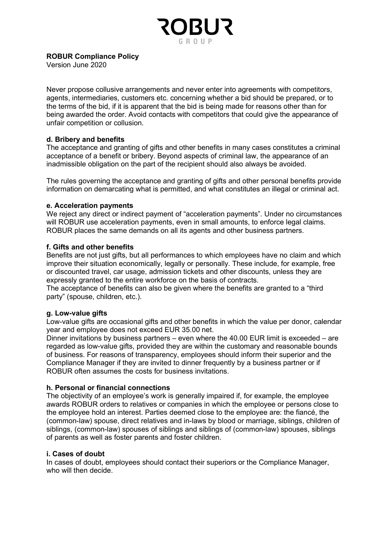

Version June 2020

Never propose collusive arrangements and never enter into agreements with competitors, agents, intermediaries, customers etc. concerning whether a bid should be prepared, or to the terms of the bid, if it is apparent that the bid is being made for reasons other than for being awarded the order. Avoid contacts with competitors that could give the appearance of unfair competition or collusion.

## d. Bribery and benefits

The acceptance and granting of gifts and other benefits in many cases constitutes a criminal acceptance of a benefit or bribery. Beyond aspects of criminal law, the appearance of an inadmissible obligation on the part of the recipient should also always be avoided.

The rules governing the acceptance and granting of gifts and other personal benefits provide information on demarcating what is permitted, and what constitutes an illegal or criminal act.

### e. Acceleration payments

We reject any direct or indirect payment of "acceleration payments". Under no circumstances will ROBUR use acceleration payments, even in small amounts, to enforce legal claims. ROBUR places the same demands on all its agents and other business partners.

### f. Gifts and other benefits

Benefits are not just gifts, but all performances to which employees have no claim and which improve their situation economically, legally or personally. These include, for example, free or discounted travel, car usage, admission tickets and other discounts, unless they are expressly granted to the entire workforce on the basis of contracts.

The acceptance of benefits can also be given where the benefits are granted to a "third party" (spouse, children, etc.).

#### g. Low-value gifts

Low-value gifts are occasional gifts and other benefits in which the value per donor, calendar year and employee does not exceed EUR 35.00 net.

Dinner invitations by business partners – even where the 40.00 EUR limit is exceeded – are regarded as low-value gifts, provided they are within the customary and reasonable bounds of business. For reasons of transparency, employees should inform their superior and the Compliance Manager if they are invited to dinner frequently by a business partner or if ROBUR often assumes the costs for business invitations.

#### h. Personal or financial connections

The objectivity of an employee's work is generally impaired if, for example, the employee awards ROBUR orders to relatives or companies in which the employee or persons close to the employee hold an interest. Parties deemed close to the employee are: the fiancé, the (common-law) spouse, direct relatives and in-laws by blood or marriage, siblings, children of siblings, (common-law) spouses of siblings and siblings of (common-law) spouses, siblings of parents as well as foster parents and foster children.

#### i. Cases of doubt

In cases of doubt, employees should contact their superiors or the Compliance Manager, who will then decide.